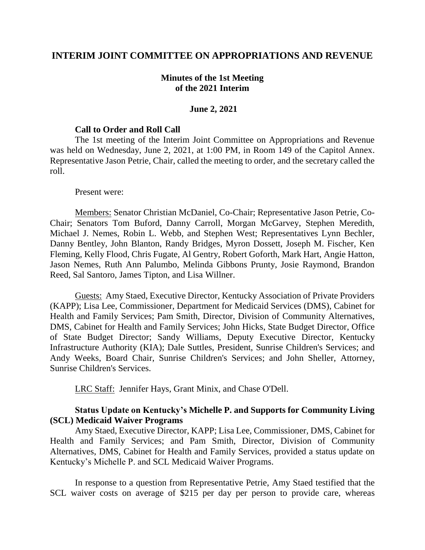# **INTERIM JOINT COMMITTEE ON APPROPRIATIONS AND REVENUE**

# **Minutes of the 1st Meeting of the 2021 Interim**

### **June 2, 2021**

### **Call to Order and Roll Call**

The 1st meeting of the Interim Joint Committee on Appropriations and Revenue was held on Wednesday, June 2, 2021, at 1:00 PM, in Room 149 of the Capitol Annex. Representative Jason Petrie, Chair, called the meeting to order, and the secretary called the roll.

#### Present were:

Members: Senator Christian McDaniel, Co-Chair; Representative Jason Petrie, Co-Chair; Senators Tom Buford, Danny Carroll, Morgan McGarvey, Stephen Meredith, Michael J. Nemes, Robin L. Webb, and Stephen West; Representatives Lynn Bechler, Danny Bentley, John Blanton, Randy Bridges, Myron Dossett, Joseph M. Fischer, Ken Fleming, Kelly Flood, Chris Fugate, Al Gentry, Robert Goforth, Mark Hart, Angie Hatton, Jason Nemes, Ruth Ann Palumbo, Melinda Gibbons Prunty, Josie Raymond, Brandon Reed, Sal Santoro, James Tipton, and Lisa Willner.

Guests: Amy Staed, Executive Director, Kentucky Association of Private Providers (KAPP); Lisa Lee, Commissioner, Department for Medicaid Services (DMS), Cabinet for Health and Family Services; Pam Smith, Director, Division of Community Alternatives, DMS, Cabinet for Health and Family Services; John Hicks, State Budget Director, Office of State Budget Director; Sandy Williams, Deputy Executive Director, Kentucky Infrastructure Authority (KIA); Dale Suttles, President, Sunrise Children's Services; and Andy Weeks, Board Chair, Sunrise Children's Services; and John Sheller, Attorney, Sunrise Children's Services.

LRC Staff: Jennifer Hays, Grant Minix, and Chase O'Dell.

# **Status Update on Kentucky's Michelle P. and Supports for Community Living (SCL) Medicaid Waiver Programs**

Amy Staed, Executive Director, KAPP; Lisa Lee, Commissioner, DMS, Cabinet for Health and Family Services; and Pam Smith, Director, Division of Community Alternatives, DMS, Cabinet for Health and Family Services, provided a status update on Kentucky's Michelle P. and SCL Medicaid Waiver Programs.

In response to a question from Representative Petrie, Amy Staed testified that the SCL waiver costs on average of \$215 per day per person to provide care, whereas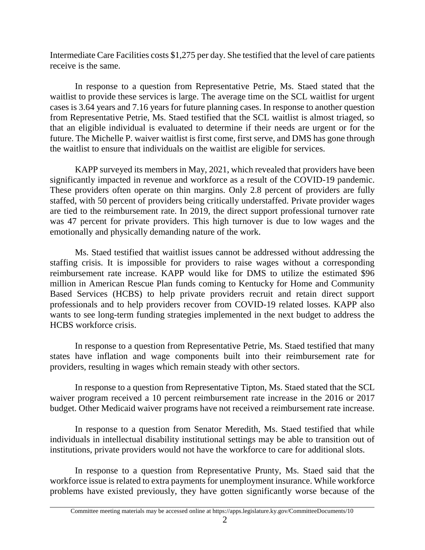Intermediate Care Facilities costs \$1,275 per day. She testified that the level of care patients receive is the same.

In response to a question from Representative Petrie, Ms. Staed stated that the waitlist to provide these services is large. The average time on the SCL waitlist for urgent cases is 3.64 years and 7.16 years for future planning cases. In response to another question from Representative Petrie, Ms. Staed testified that the SCL waitlist is almost triaged, so that an eligible individual is evaluated to determine if their needs are urgent or for the future. The Michelle P. waiver waitlist is first come, first serve, and DMS has gone through the waitlist to ensure that individuals on the waitlist are eligible for services.

KAPP surveyed its members in May, 2021, which revealed that providers have been significantly impacted in revenue and workforce as a result of the COVID-19 pandemic. These providers often operate on thin margins. Only 2.8 percent of providers are fully staffed, with 50 percent of providers being critically understaffed. Private provider wages are tied to the reimbursement rate. In 2019, the direct support professional turnover rate was 47 percent for private providers. This high turnover is due to low wages and the emotionally and physically demanding nature of the work.

Ms. Staed testified that waitlist issues cannot be addressed without addressing the staffing crisis. It is impossible for providers to raise wages without a corresponding reimbursement rate increase. KAPP would like for DMS to utilize the estimated \$96 million in American Rescue Plan funds coming to Kentucky for Home and Community Based Services (HCBS) to help private providers recruit and retain direct support professionals and to help providers recover from COVID-19 related losses. KAPP also wants to see long-term funding strategies implemented in the next budget to address the HCBS workforce crisis.

In response to a question from Representative Petrie, Ms. Staed testified that many states have inflation and wage components built into their reimbursement rate for providers, resulting in wages which remain steady with other sectors.

In response to a question from Representative Tipton, Ms. Staed stated that the SCL waiver program received a 10 percent reimbursement rate increase in the 2016 or 2017 budget. Other Medicaid waiver programs have not received a reimbursement rate increase.

In response to a question from Senator Meredith, Ms. Staed testified that while individuals in intellectual disability institutional settings may be able to transition out of institutions, private providers would not have the workforce to care for additional slots.

In response to a question from Representative Prunty, Ms. Staed said that the workforce issue is related to extra payments for unemployment insurance. While workforce problems have existed previously, they have gotten significantly worse because of the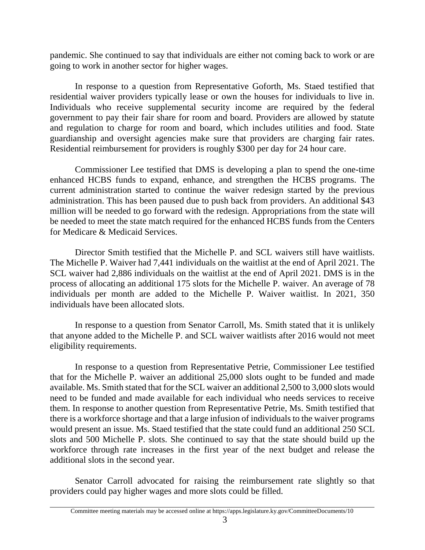pandemic. She continued to say that individuals are either not coming back to work or are going to work in another sector for higher wages.

In response to a question from Representative Goforth, Ms. Staed testified that residential waiver providers typically lease or own the houses for individuals to live in. Individuals who receive supplemental security income are required by the federal government to pay their fair share for room and board. Providers are allowed by statute and regulation to charge for room and board, which includes utilities and food. State guardianship and oversight agencies make sure that providers are charging fair rates. Residential reimbursement for providers is roughly \$300 per day for 24 hour care.

Commissioner Lee testified that DMS is developing a plan to spend the one-time enhanced HCBS funds to expand, enhance, and strengthen the HCBS programs. The current administration started to continue the waiver redesign started by the previous administration. This has been paused due to push back from providers. An additional \$43 million will be needed to go forward with the redesign. Appropriations from the state will be needed to meet the state match required for the enhanced HCBS funds from the Centers for Medicare & Medicaid Services.

Director Smith testified that the Michelle P. and SCL waivers still have waitlists. The Michelle P. Waiver had 7,441 individuals on the waitlist at the end of April 2021. The SCL waiver had 2,886 individuals on the waitlist at the end of April 2021. DMS is in the process of allocating an additional 175 slots for the Michelle P. waiver. An average of 78 individuals per month are added to the Michelle P. Waiver waitlist. In 2021, 350 individuals have been allocated slots.

In response to a question from Senator Carroll, Ms. Smith stated that it is unlikely that anyone added to the Michelle P. and SCL waiver waitlists after 2016 would not meet eligibility requirements.

In response to a question from Representative Petrie, Commissioner Lee testified that for the Michelle P. waiver an additional 25,000 slots ought to be funded and made available. Ms. Smith stated that for the SCL waiver an additional 2,500 to 3,000 slots would need to be funded and made available for each individual who needs services to receive them. In response to another question from Representative Petrie, Ms. Smith testified that there is a workforce shortage and that a large infusion of individuals to the waiver programs would present an issue. Ms. Staed testified that the state could fund an additional 250 SCL slots and 500 Michelle P. slots. She continued to say that the state should build up the workforce through rate increases in the first year of the next budget and release the additional slots in the second year.

Senator Carroll advocated for raising the reimbursement rate slightly so that providers could pay higher wages and more slots could be filled.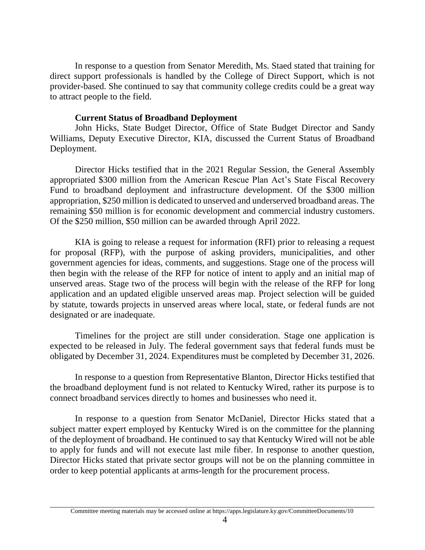In response to a question from Senator Meredith, Ms. Staed stated that training for direct support professionals is handled by the College of Direct Support, which is not provider-based. She continued to say that community college credits could be a great way to attract people to the field.

# **Current Status of Broadband Deployment**

John Hicks, State Budget Director, Office of State Budget Director and Sandy Williams, Deputy Executive Director, KIA, discussed the Current Status of Broadband Deployment.

Director Hicks testified that in the 2021 Regular Session, the General Assembly appropriated \$300 million from the American Rescue Plan Act's State Fiscal Recovery Fund to broadband deployment and infrastructure development. Of the \$300 million appropriation, \$250 million is dedicated to unserved and underserved broadband areas. The remaining \$50 million is for economic development and commercial industry customers. Of the \$250 million, \$50 million can be awarded through April 2022.

KIA is going to release a request for information (RFI) prior to releasing a request for proposal (RFP), with the purpose of asking providers, municipalities, and other government agencies for ideas, comments, and suggestions. Stage one of the process will then begin with the release of the RFP for notice of intent to apply and an initial map of unserved areas. Stage two of the process will begin with the release of the RFP for long application and an updated eligible unserved areas map. Project selection will be guided by statute, towards projects in unserved areas where local, state, or federal funds are not designated or are inadequate.

Timelines for the project are still under consideration. Stage one application is expected to be released in July. The federal government says that federal funds must be obligated by December 31, 2024. Expenditures must be completed by December 31, 2026.

In response to a question from Representative Blanton, Director Hicks testified that the broadband deployment fund is not related to Kentucky Wired, rather its purpose is to connect broadband services directly to homes and businesses who need it.

In response to a question from Senator McDaniel, Director Hicks stated that a subject matter expert employed by Kentucky Wired is on the committee for the planning of the deployment of broadband. He continued to say that Kentucky Wired will not be able to apply for funds and will not execute last mile fiber. In response to another question, Director Hicks stated that private sector groups will not be on the planning committee in order to keep potential applicants at arms-length for the procurement process.

Committee meeting materials may be accessed online at https://apps.legislature.ky.gov/CommitteeDocuments/10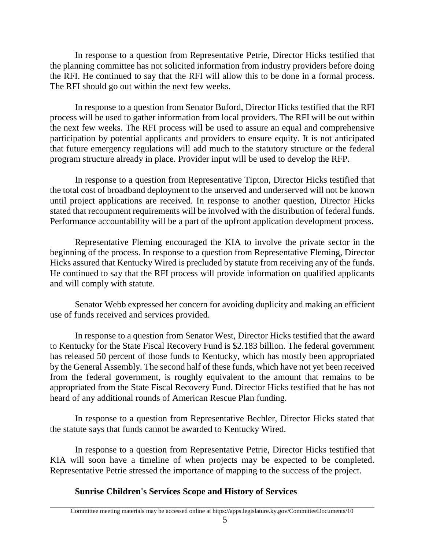In response to a question from Representative Petrie, Director Hicks testified that the planning committee has not solicited information from industry providers before doing the RFI. He continued to say that the RFI will allow this to be done in a formal process. The RFI should go out within the next few weeks.

In response to a question from Senator Buford, Director Hicks testified that the RFI process will be used to gather information from local providers. The RFI will be out within the next few weeks. The RFI process will be used to assure an equal and comprehensive participation by potential applicants and providers to ensure equity. It is not anticipated that future emergency regulations will add much to the statutory structure or the federal program structure already in place. Provider input will be used to develop the RFP.

In response to a question from Representative Tipton, Director Hicks testified that the total cost of broadband deployment to the unserved and underserved will not be known until project applications are received. In response to another question, Director Hicks stated that recoupment requirements will be involved with the distribution of federal funds. Performance accountability will be a part of the upfront application development process.

Representative Fleming encouraged the KIA to involve the private sector in the beginning of the process. In response to a question from Representative Fleming, Director Hicks assured that Kentucky Wired is precluded by statute from receiving any of the funds. He continued to say that the RFI process will provide information on qualified applicants and will comply with statute.

Senator Webb expressed her concern for avoiding duplicity and making an efficient use of funds received and services provided.

In response to a question from Senator West, Director Hicks testified that the award to Kentucky for the State Fiscal Recovery Fund is \$2.183 billion. The federal government has released 50 percent of those funds to Kentucky, which has mostly been appropriated by the General Assembly. The second half of these funds, which have not yet been received from the federal government, is roughly equivalent to the amount that remains to be appropriated from the State Fiscal Recovery Fund. Director Hicks testified that he has not heard of any additional rounds of American Rescue Plan funding.

In response to a question from Representative Bechler, Director Hicks stated that the statute says that funds cannot be awarded to Kentucky Wired.

In response to a question from Representative Petrie, Director Hicks testified that KIA will soon have a timeline of when projects may be expected to be completed. Representative Petrie stressed the importance of mapping to the success of the project.

# **Sunrise Children's Services Scope and History of Services**